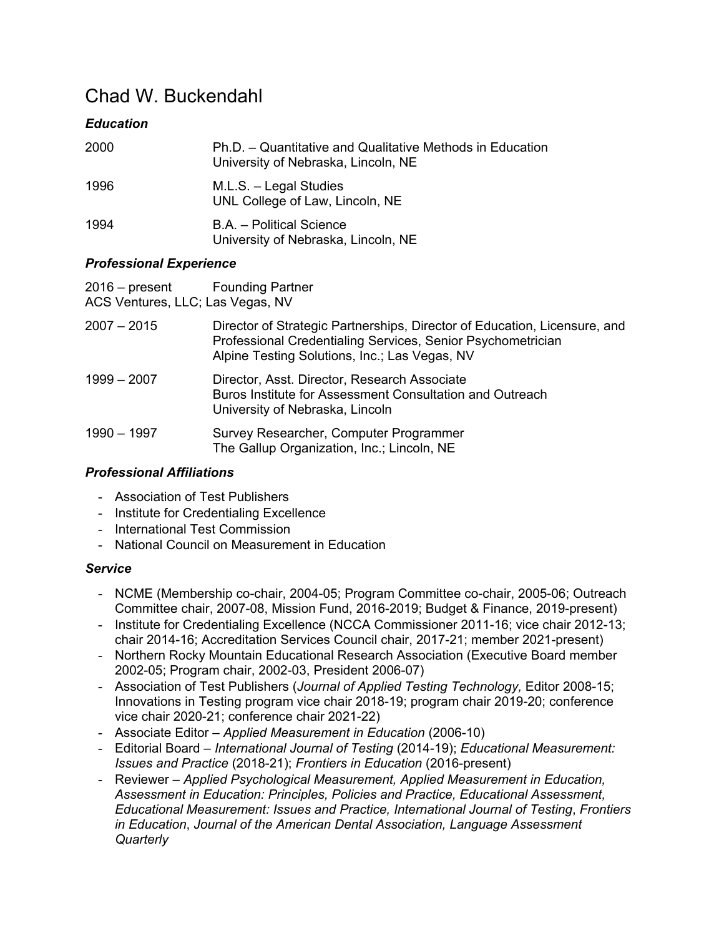# Chad W. Buckendahl

# *Education*

| 2000 | Ph.D. - Quantitative and Qualitative Methods in Education<br>University of Nebraska, Lincoln, NE |
|------|--------------------------------------------------------------------------------------------------|
| 1996 | M.L.S. - Legal Studies<br>UNL College of Law, Lincoln, NE                                        |
| 1994 | B.A. - Political Science<br>University of Nebraska, Lincoln, NE                                  |

## *Professional Experience*

| $2016$ – present | <b>Founding Partner</b>          |
|------------------|----------------------------------|
|                  | ACS Ventures, LLC; Las Vegas, NV |

| 2007 – 2015 | Director of Strategic Partnerships, Director of Education, Licensure, and<br>Professional Credentialing Services, Senior Psychometrician<br>Alpine Testing Solutions, Inc.; Las Vegas, NV |
|-------------|-------------------------------------------------------------------------------------------------------------------------------------------------------------------------------------------|
| 1999 - 2007 | Director, Asst. Director, Research Associate<br>Buros Institute for Assessment Consultation and Outreach<br>University of Nebraska, Lincoln                                               |
| 1990 - 1997 | Survey Researcher, Computer Programmer<br>The Gallup Organization, Inc.; Lincoln, NE                                                                                                      |

## *Professional Affiliations*

- Association of Test Publishers
- Institute for Credentialing Excellence
- International Test Commission
- National Council on Measurement in Education

#### *Service*

- NCME (Membership co-chair, 2004-05; Program Committee co-chair, 2005-06; Outreach Committee chair, 2007-08, Mission Fund, 2016-2019; Budget & Finance, 2019-present)
- Institute for Credentialing Excellence (NCCA Commissioner 2011-16; vice chair 2012-13; chair 2014-16; Accreditation Services Council chair, 2017-21; member 2021-present)
- Northern Rocky Mountain Educational Research Association (Executive Board member 2002-05; Program chair, 2002-03, President 2006-07)
- Association of Test Publishers (*Journal of Applied Testing Technology,* Editor 2008-15; Innovations in Testing program vice chair 2018-19; program chair 2019-20; conference vice chair 2020-21; conference chair 2021-22)
- Associate Editor *Applied Measurement in Education* (2006-10)
- Editorial Board *International Journal of Testing* (2014-19); *Educational Measurement: Issues and Practice* (2018-21); *Frontiers in Education* (2016-present)
- Reviewer *Applied Psychological Measurement, Applied Measurement in Education, Assessment in Education: Principles, Policies and Practice, Educational Assessment, Educational Measurement: Issues and Practice, International Journal of Testing*, *Frontiers in Education*, *Journal of the American Dental Association, Language Assessment Quarterly*